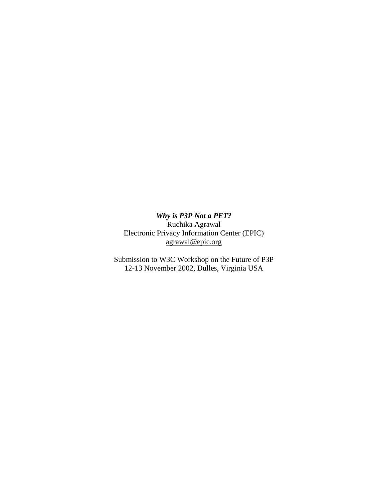*Why is P3P Not a PET?* Ruchika Agrawal Electronic Privacy Information Center (EPIC) agrawal@epic.org

Submission to W3C Workshop on the Future of P3P 12-13 November 2002, Dulles, Virginia USA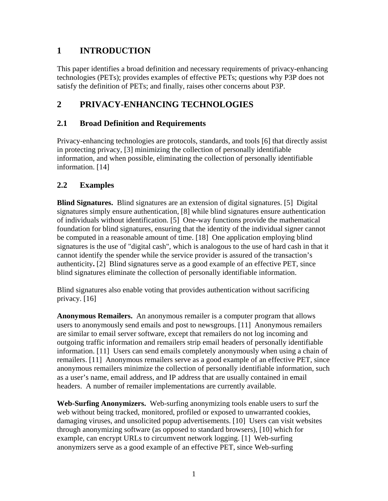## **1 INTRODUCTION**

This paper identifies a broad definition and necessary requirements of privacy-enhancing technologies (PETs); provides examples of effective PETs; questions why P3P does not satisfy the definition of PETs; and finally, raises other concerns about P3P.

## **2 PRIVACY-ENHANCING TECHNOLOGIES**

### **2.1 Broad Definition and Requirements**

Privacy-enhancing technologies are protocols, standards, and tools [6] that directly assist in protecting privacy, [3] minimizing the collection of personally identifiable information, and when possible, eliminating the collection of personally identifiable information. [14]

### **2.2 Examples**

**Blind Signatures.** Blind signatures are an extension of digital signatures. [5] Digital signatures simply ensure authentication, [8] while blind signatures ensure authentication of individuals without identification. [5] One-way functions provide the mathematical foundation for blind signatures, ensuring that the identity of the individual signer cannot be computed in a reasonable amount of time. [18] One application employing blind signatures is the use of "digital cash", which is analogous to the use of hard cash in that it cannot identify the spender while the service provider is assured of the transaction's authenticity**.** [2] Blind signatures serve as a good example of an effective PET, since blind signatures eliminate the collection of personally identifiable information.

Blind signatures also enable voting that provides authentication without sacrificing privacy. [16]

**Anonymous Remailers.** An anonymous remailer is a computer program that allows users to anonymously send emails and post to newsgroups. [11] Anonymous remailers are similar to email server software, except that remailers do not log incoming and outgoing traffic information and remailers strip email headers of personally identifiable information. [11] Users can send emails completely anonymously when using a chain of remailers. [11] Anonymous remailers serve as a good example of an effective PET, since anonymous remailers minimize the collection of personally identifiable information, such as a user's name, email address, and IP address that are usually contained in email headers. A number of remailer implementations are currently available.

**Web-Surfing Anonymizers.** Web-surfing anonymizing tools enable users to surf the web without being tracked, monitored, profiled or exposed to unwarranted cookies, damaging viruses, and unsolicited popup advertisements. [10] Users can visit websites through anonymizing software (as opposed to standard browsers), [10] which for example, can encrypt URLs to circumvent network logging. [1] Web-surfing anonymizers serve as a good example of an effective PET, since Web-surfing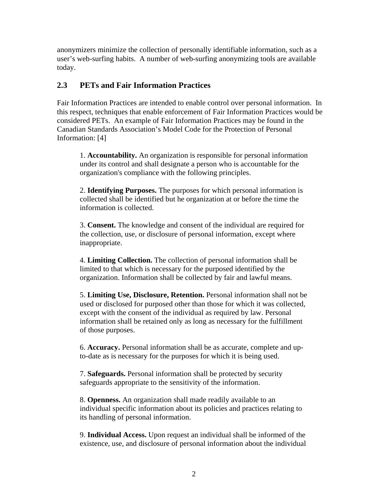anonymizers minimize the collection of personally identifiable information, such as a user's web-surfing habits. A number of web-surfing anonymizing tools are available today.

#### **2.3 PETs and Fair Information Practices**

Fair Information Practices are intended to enable control over personal information. In this respect, techniques that enable enforcement of Fair Information Practices would be considered PETs. An example of Fair Information Practices may be found in the Canadian Standards Association's Model Code for the Protection of Personal Information: [4]

1. **Accountability.** An organization is responsible for personal information under its control and shall designate a person who is accountable for the organization's compliance with the following principles.

2. **Identifying Purposes.** The purposes for which personal information is collected shall be identified but he organization at or before the time the information is collected.

3. **Consent.** The knowledge and consent of the individual are required for the collection, use, or disclosure of personal information, except where inappropriate.

4. **Limiting Collection.** The collection of personal information shall be limited to that which is necessary for the purposed identified by the organization. Information shall be collected by fair and lawful means.

5. **Limiting Use, Disclosure, Retention.** Personal information shall not be used or disclosed for purposed other than those for which it was collected, except with the consent of the individual as required by law. Personal information shall be retained only as long as necessary for the fulfillment of those purposes.

6. **Accuracy.** Personal information shall be as accurate, complete and upto-date as is necessary for the purposes for which it is being used.

7. **Safeguards.** Personal information shall be protected by security safeguards appropriate to the sensitivity of the information.

8. **Openness.** An organization shall made readily available to an individual specific information about its policies and practices relating to its handling of personal information.

9. **Individual Access.** Upon request an individual shall be informed of the existence, use, and disclosure of personal information about the individual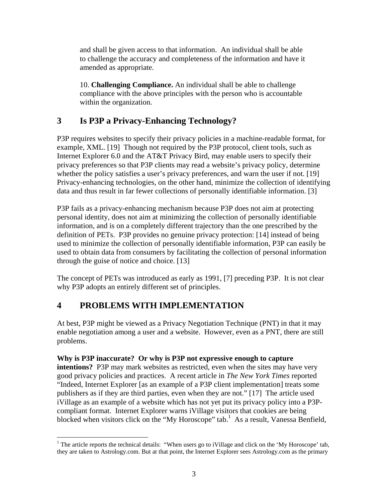and shall be given access to that information. An individual shall be able to challenge the accuracy and completeness of the information and have it amended as appropriate.

10. **Challenging Compliance.** An individual shall be able to challenge compliance with the above principles with the person who is accountable within the organization.

## **3 Is P3P a Privacy-Enhancing Technology?**

P3P requires websites to specify their privacy policies in a machine-readable format, for example, XML. [19] Though not required by the P3P protocol, client tools, such as Internet Explorer 6.0 and the AT&T Privacy Bird, may enable users to specify their privacy preferences so that P3P clients may read a website's privacy policy, determine whether the policy satisfies a user's privacy preferences, and warn the user if not. [19] Privacy-enhancing technologies, on the other hand, minimize the collection of identifying data and thus result in far fewer collections of personally identifiable information. [3]

P3P fails as a privacy-enhancing mechanism because P3P does not aim at protecting personal identity, does not aim at minimizing the collection of personally identifiable information, and is on a completely different trajectory than the one prescribed by the definition of PETs. P3P provides no genuine privacy protection: [14] instead of being used to minimize the collection of personally identifiable information, P3P can easily be used to obtain data from consumers by facilitating the collection of personal information through the guise of notice and choice. [13]

The concept of PETs was introduced as early as 1991, [7] preceding P3P. It is not clear why P3P adopts an entirely different set of principles.

# **4 PROBLEMS WITH IMPLEMENTATION**

At best, P3P might be viewed as a Privacy Negotiation Technique (PNT) in that it may enable negotiation among a user and a website. However, even as a PNT, there are still problems.

#### **Why is P3P inaccurate? Or why is P3P not expressive enough to capture**

**intentions?** P3P may mark websites as restricted, even when the sites may have very good privacy policies and practices. A recent article in *The New York Times* reported "Indeed, Internet Explorer [as an example of a P3P client implementation] treats some publishers as if they are third parties, even when they are not." [17] The article used iVillage as an example of a website which has not yet put its privacy policy into a P3Pcompliant format. Internet Explorer warns iVillage visitors that cookies are being blocked when visitors click on the "My Horoscope" tab.<sup>1</sup> As a result, Vanessa Benfield,

<sup>&</sup>lt;sup>1</sup> The article reports the technical details: "When users go to iVillage and click on the 'My Horoscope' tab, they are taken to Astrology.com. But at that point, the Internet Explorer sees Astrology.com as the primary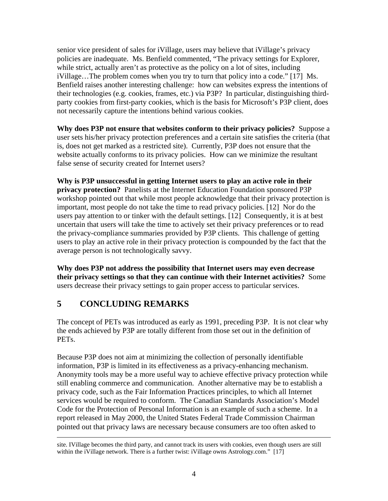senior vice president of sales for iVillage, users may believe that iVillage's privacy policies are inadequate. Ms. Benfield commented, "The privacy settings for Explorer, while strict, actually aren't as protective as the policy on a lot of sites, including iVillage…The problem comes when you try to turn that policy into a code." [17] Ms. Benfield raises another interesting challenge: how can websites express the intentions of their technologies (e.g. cookies, frames, etc.) via P3P? In particular, distinguishing thirdparty cookies from first-party cookies, which is the basis for Microsoft's P3P client, does not necessarily capture the intentions behind various cookies.

**Why does P3P not ensure that websites conform to their privacy policies?** Suppose a user sets his/her privacy protection preferences and a certain site satisfies the criteria (that is, does not get marked as a restricted site). Currently, P3P does not ensure that the website actually conforms to its privacy policies. How can we minimize the resultant false sense of security created for Internet users?

**Why is P3P unsuccessful in getting Internet users to play an active role in their privacy protection?** Panelists at the Internet Education Foundation sponsored P3P workshop pointed out that while most people acknowledge that their privacy protection is important, most people do not take the time to read privacy policies. [12] Nor do the users pay attention to or tinker with the default settings. [12] Consequently, it is at best uncertain that users will take the time to actively set their privacy preferences or to read the privacy-compliance summaries provided by P3P clients. This challenge of getting users to play an active role in their privacy protection is compounded by the fact that the average person is not technologically savvy.

**Why does P3P not address the possibility that Internet users may even decrease their privacy settings so that they can continue with their Internet activities?** Some users decrease their privacy settings to gain proper access to particular services.

# **5 CONCLUDING REMARKS**

The concept of PETs was introduced as early as 1991, preceding P3P. It is not clear why the ends achieved by P3P are totally different from those set out in the definition of PETs.

Because P3P does not aim at minimizing the collection of personally identifiable information, P3P is limited in its effectiveness as a privacy-enhancing mechanism. Anonymity tools may be a more useful way to achieve effective privacy protection while still enabling commerce and communication. Another alternative may be to establish a privacy code, such as the Fair Information Practices principles, to which all Internet services would be required to conform. The Canadian Standards Association's Model Code for the Protection of Personal Information is an example of such a scheme. In a report released in May 2000, the United States Federal Trade Commission Chairman pointed out that privacy laws are necessary because consumers are too often asked to

site. IVillage becomes the third party, and cannot track its users with cookies, even though users are still within the iVillage network. There is a further twist: iVillage owns Astrology.com." [17]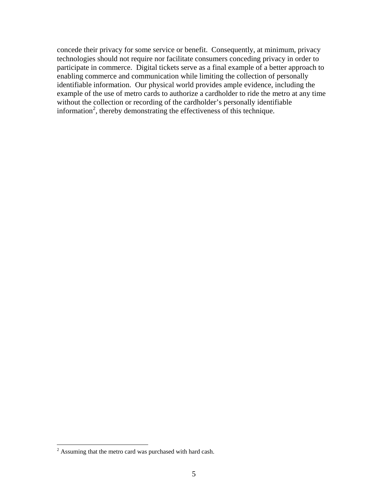concede their privacy for some service or benefit. Consequently, at minimum, privacy technologies should not require nor facilitate consumers conceding privacy in order to participate in commerce. Digital tickets serve as a final example of a better approach to enabling commerce and communication while limiting the collection of personally identifiable information. Our physical world provides ample evidence, including the example of the use of metro cards to authorize a cardholder to ride the metro at any time without the collection or recording of the cardholder's personally identifiable information<sup>2</sup>, thereby demonstrating the effectiveness of this technique.

<sup>&</sup>lt;sup>2</sup> Assuming that the metro card was purchased with hard cash.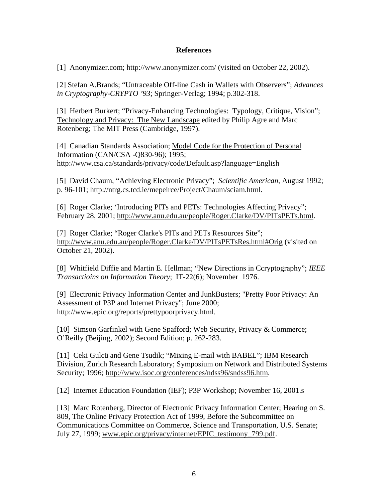#### **References**

[1] Anonymizer.com; http://www.anonymizer.com/ (visited on October 22, 2002).

[2] Stefan A.Brands; "Untraceable Off-line Cash in Wallets with Observers"; *Advances in Cryptography-CRYPTO '93*; Springer-Verlag; 1994; p.302-318.

[3] Herbert Burkert; "Privacy-Enhancing Technologies: Typology, Critique, Vision"; Technology and Privacy: The New Landscape edited by Philip Agre and Marc Rotenberg; The MIT Press (Cambridge, 1997).

[4] Canadian Standards Association; Model Code for the Protection of Personal Information (CAN/CSA -Q830-96); 1995; http://www.csa.ca/standards/privacy/code/Default.asp?language=English

[5] David Chaum, "Achieving Electronic Privacy"; *Scientific American*, August 1992; p. 96-101; http://ntrg.cs.tcd.ie/mepeirce/Project/Chaum/sciam.html.

[6] Roger Clarke; 'Introducing PITs and PETs: Technologies Affecting Privacy"; February 28, 2001; http://www.anu.edu.au/people/Roger.Clarke/DV/PITsPETs.html.

[7] Roger Clarke; "Roger Clarke's PITs and PETs Resources Site"; http://www.anu.edu.au/people/Roger.Clarke/DV/PITsPETsRes.html#Orig (visited on October 21, 2002).

[8] Whitfield Diffie and Martin E. Hellman; "New Directions in Ccryptography"; *IEEE Transactioins on Information Theory*; IT-22(6); November 1976.

[9] Electronic Privacy Information Center and JunkBusters; "Pretty Poor Privacy: An Assessment of P3P and Internet Privacy"; June 2000; http://www.epic.org/reports/prettypoorprivacy.html.

[10] Simson Garfinkel with Gene Spafford; Web Security, Privacy & Commerce; O'Reilly (Beijing, 2002); Second Edition; p. 262-283.

[11] Ceki Gulcü and Gene Tsudik; "Mixing E-mail with BABEL"; IBM Research Division, Zurich Research Laboratory; Symposium on Network and Distributed Systems Security; 1996; http://www.isoc.org/conferences/ndss96/sndss96.htm.

[12] Internet Education Foundation (IEF); P3P Workshop; November 16, 2001.s

[13] Marc Rotenberg, Director of Electronic Privacy Information Center; Hearing on S. 809, The Online Privacy Protection Act of 1999, Before the Subcommittee on Communications Committee on Commerce, Science and Transportation, U.S. Senate; July 27, 1999; www.epic.org/privacy/internet/EPIC\_testimony\_799.pdf.